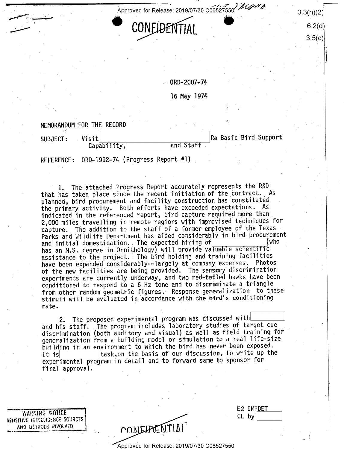' ' '  $\overline{\phantom{a}}$  .  $\overline{\phantom{a}}$  .  $\overline{\phantom{a}}$  .  $\overline{\phantom{a}}$  .  $\overline{\phantom{a}}$  .  $\overline{\phantom{a}}$  .  $\overline{\phantom{a}}$ 



 $^{\prime}$ 

 $6.2(d)$  $3.5(c)$ 

0RD-2007-74

l6 May 1974

'

MEMORANDUM FOR THE RECORD

SUBJECT: Visit<br>Capability. and Staff Re Basic Bird Support Capability, ' -- '

REFERENCE: 0RD-l992-74 (Progress Report #l)

1. The attached Progress Report accurately represents the R&D<br>has taken place since the recent initiation of the contract. As that has taken place since the recent initiation of the contract. planned, bird procurement and facility construction has constituted the primary activity. Both efforts have exceeded expectations. As indicated in the referenced report, bird capture required more than 2,000 miles travelling in remote regions with improvised techniques for capture. The addition to the staff of a former employee of the Texas Parks and Wildlife Department has aided considerably in bird procurement<br>and initial domestication. The expected hiring of **the constant of the constitution** and initial domestication.. The expected hiring  $\sigma$   $\begin{bmatrix} w \cdots \end{bmatrix}$  who  $\begin{bmatrix} 0 \end{bmatrix}$ has an M.S. degree in Ornithology) will provide valuable scientific assistance to the project. The bird holding and training facilities have been expanded considerably--largely at company expenses. Photos of the new facilities are being provided. The sensory discrimination experiments are currently underway, and two red-tailed hawks have been conditioned to respond to a 6,Hz tone and to discriminate a triangle from other random geometric figures. Response generalization to these stimuli will be evaluated in accordance with the bird's conditioning rate. ' ' '

2. The proposed experimental program was discussed with and his staff. The program includes laboratory studies of target cue discrimination (both auditory and visual) as well as field training for generalization from a building model or simulation to a real life-size building in an environment to which the bird has never been exposed.<br>It is  $\begin{array}{c|c} \text{it is} & \text{it} \\ \text{it is} & \text{it} \end{array}$ task,on the basis of our discussion, to write up the experimental program in detail and to forward same to sponsor for final approval.

WARNING NOTICE BEHSITIVE INTELLIGENCE SOURCES ANO METHODS INVOLVED

| CONSIDENTIAI |
|--------------|
|              |

|       | E2 IMPDET |  |  |
|-------|-----------|--|--|
| CL by |           |  |  |
|       |           |  |  |
|       |           |  |  |

Approved for Release: 2019/07/30 C06527550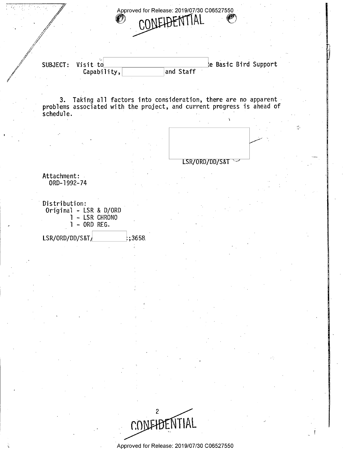proved for Release: 2019/07/30 C06527550 MELAFNTIAI

@%>

Capability,

 $\not\!\!{}/\!\!\!{}^{'}$  $\mathscr{L}$  $^\prime\,$ 

/ . .

SUBJECT: Visit to Capability, and Staff Support Capability,

scheduie. 3. Taking all factors into consideration, there are no apparent~ problems associated with the project, and current progress is ahead of



 $\ddot{\phantom{0}}$ 

E

感

i

Q

5 z = 1

~

Attachment: 0RD-1992-74

Distribution: Original - LSR & D/ORD 1 - LSR CHRONO , 1 - 0RD REG.

 $LSR/ORD/DD/S8T$ ;3658



Approved for Release: 2019/07/30 C06527550

de la construcción de la construcción de la construcción de la construcción de la construcción de la construcción<br>O segundo de la construcción de la construcción de la construcción de la construcción de la construcción de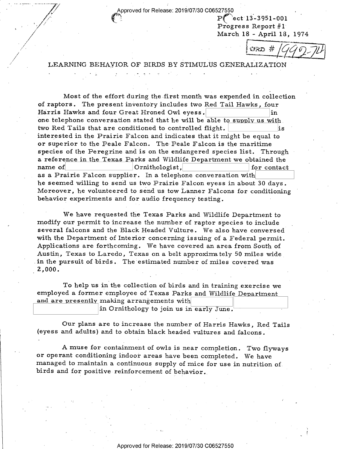Approved for Release: 2019/07/30 C06527550

P( ect 13-3951-001 Progress Report #1'

v\_ .

March 18 - April 18, 1974<br>  $\sqrt{370 \# /}$ 

## LEARNING BEHAVIOR OF BIRDS BY STIMULUS GENERALIZATION

 $\sim$   $\gamma$   $\sim$ 

/

u Universitas de la contrada de la contrada de la contrada de la contrada de la contrada de la contrada de la

Most of the effort during the first month was expended in collection of raptors. The present inventory includes two Red Tail Hawks, four Harris Hawks and four Great Hroned Owl eyess. Harris Hawks and four Great Hroned Owl eyess. one telephone conversation stated that he will be able to supply us with. two Red Tails that are conditioned to controlled flight.  $\vert$  is interested in the Prairie Falcon and indicates that it might be equal to or superior to the Peale Falcon. The Peale Falcon is the maritime species of the Peregrine and is on the endangered species list. Through ' a reference in the Texas Parks and Wildlife Department we obtained the name of  $\vert$  Ornithologist.  $\vert$  for contact Ornithologist, for contact as a Prairie Falcon supplier. In a telephone conversation with he seemed willing to send us two Prairie Falcon eyess in about 30 days . Moreover, he volunteered to send us tow Lanner Falcons for conditioning behavior experiments and for audio frequency testing.

We have requested the Texas Parks and Wildlife Department to modify our permit to increase the number of raptor species to include several falcons and the Black Headed Vulture. We also have conversed with the Department of Interior concerning issuing of a Federal permit. Applications are forthcoming. We have covered an area from South of Austin, Texas to Laredo, Texas on a belt approximately 50 miles wide in the pursuit of birds. The estimated number of miles covered was 2,000.

To help us in the collection of. birds and in training exercise we employed a former employee of Texas Parks and Wildlife Department and are presently making arrangements with in Ornithology to join us in early June.

Our plans are to increase the number of Harris Hawks, Red Tails (eyess and adults) and to obtain black headed vultures and falcons.

<sup>A</sup>muse for containment of owls is near completion. Two flyways or operant conditioning indoor areas have been completed. We have managed to maintain a continuous supply of mice for use in nutrition of. birds and for positive reinforcement of behavior.

'-£-